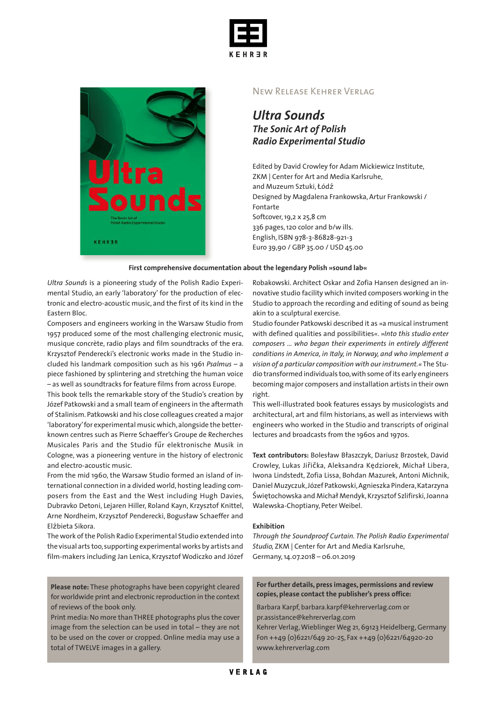



### New Release Kehrer Verlag

## *Ultra Sounds The Sonic Art of Polish Radio Experimental Studio*

Edited by David Crowley for Adam Mickiewicz Institute, ZKM | Center for Art and Media Karlsruhe, and Muzeum Sztuki, Łódź Designed by Magdalena Frankowska, Artur Frankowski / Fontarte Softcover,19,2 x 25,8 cm 336 pages,120 color and b/w ills. English, ISBN 978-3-86828-921-3 Euro 39,90 / GBP 35.00 / USD 45.00

#### **First comprehensive documentation about the legendary Polish »sound lab«**

*Ultra Sounds* is a pioneering study of the Polish Radio Experimental Studio, an early 'laboratory' for the production of electronic and electro-acoustic music, and the first of its kind in the Eastern Bloc.

Composers and engineers working in the Warsaw Studio from 1957 produced some of the most challenging electronic music, musique concrète, radio plays and film soundtracks of the era. Krzysztof Penderecki's electronic works made in the Studio included his landmark composition such as his 1961 *Psalmus* – a piece fashioned by splintering and stretching the human voice – as well as soundtracks for feature films from across Europe.

This book tells the remarkable story of the Studio's creation by Józef Patkowski and a small team of engineers in the aftermath of Stalinism. Patkowski and his close colleagues created a major 'laboratory'for experimental music which,alongside the betterknown centres such as Pierre Schaeffer's Groupe de Recherches Musicales Paris and the Studio f*̈*ur elektronische Musik in Cologne, was a pioneering venture in the history of electronic and electro-acoustic music.

From the mid 1960, the Warsaw Studio formed an island of international connection in a divided world, hosting leading composers from the East and the West including Hugh Davies, Dubravko Detoni, Lejaren Hiller, Roland Kayn, Krzysztof Knittel, Arne Nordheim, Krzysztof Penderecki, Bogusław Schaeffer and Elźbieta Sikora.

The work of the Polish Radio Experimental Studio extended into the visual arts too,supporting experimentalworks by artists and film-makers including Jan Lenica, Krzysztof Wodiczko and Józef

**Please note:** These photographs have been copyright cleared for worldwide print and electronic reproduction in the context of reviews of the book only.

Print media:No more than THREE photographs plus the cover image from the selection can be used in total – they are not to be used on the cover or cropped. Online media may use a total of TWELVE images in a gallery.

Robakowski. Architect Oskar and Zofia Hansen designed an innovative studio facility which invited composers working in the Studio to approach the recording and editing of sound as being akin to a sculptural exercise.

Studio founder Patkowski described it as *»*a musical instrument with defined qualities and possibilities*«*. *»Into this studio enter composers … who began their experiments in entirely different conditions in America, in Italy, in Norway, and who implement a vision of a particular composition with ourinstrument.«* The Studio transformed individuals too,with some ofits early engineers becoming major composers and installation artists in their own right.

This well-illustrated book features essays by musicologists and architectural, art and film historians, as well as interviews with engineers who worked in the Studio and transcripts of original lectures and broadcasts from the 1960s and 1970s.

**Text contributors:** Bolesław Błaszczyk, Dariusz Brzostek, David Crowley, Lukas Jiřička, Aleksandra Kędziorek, Michał Libera, Iwona Lindstedt, Zofia Lissa, Bohdan Mazurek, Antoni Michnik, Daniel Muzyczuk,Józef Patkowski,Agnieszka Pindera,Katarzyna Świętochowska and Michał Mendyk, Krzysztof Szlifirski, Joanna Walewska-Choptiany, Peter Weibel.

#### **Exhibition**

*Through the Soundproof Curtain. The Polish Radio Experimental Studio,* ZKM | Center for Art and Media Karlsruhe, Germany,14.07.2018 – 06.01.2019

**For further details, press images, permissions and review copies, please contact the publisher's press office:**

Barbara Karpf, barbara.karpf@kehrerverlag.com or pr.assistance@kehrerverlag.com

Kehrer Verlag,WieblingerWeg 21, 69123 Heidelberg,Germany Fon ++49 (0)6221/649 20-25, Fax ++49 (0)6221/64920-20 www.kehrerverlag.com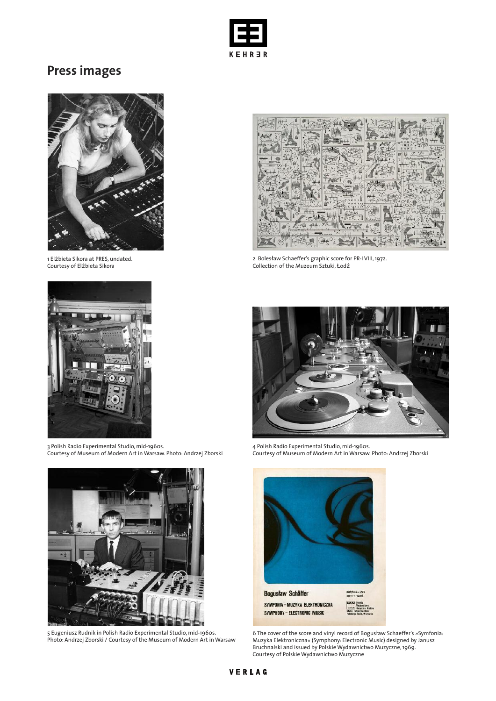

# **Press images**



1 Elżbieta Sikora at PRES, undated. Courtesy of Elżbieta Sikora



2 Bolesław Schaeffer's graphic score for PR-I VIII,1972. Collection of the Muzeum Sztuki, Łodź



3 Polish Radio Experimental Studio, mid-1960s. Courtesy of Museum of Modern Art in Warsaw. Photo: Andrzej Zborski



5 Eugeniusz Rudnik in Polish Radio Experimental Studio, mid-1960s. Photo: Andrzej Zborski / Courtesy of the Museum of Modern Art in Warsaw



4 Polish Radio Experimental Studio, mid-1960s. Courtesy of Museum of Modern Art in Warsaw. Photo: Andrzej Zborski



6 The cover of the score and vinyl record of Bogusław Schaeffer's *»*Symfonia: Muzyka Elektroniczna*«* (Symphony: Electronic Music) designed by Janusz Bruchnalski and issued by Polskie Wydawnictwo Muzyczne,1969. Courtesy of Polskie Wydawnictwo Muzyczne